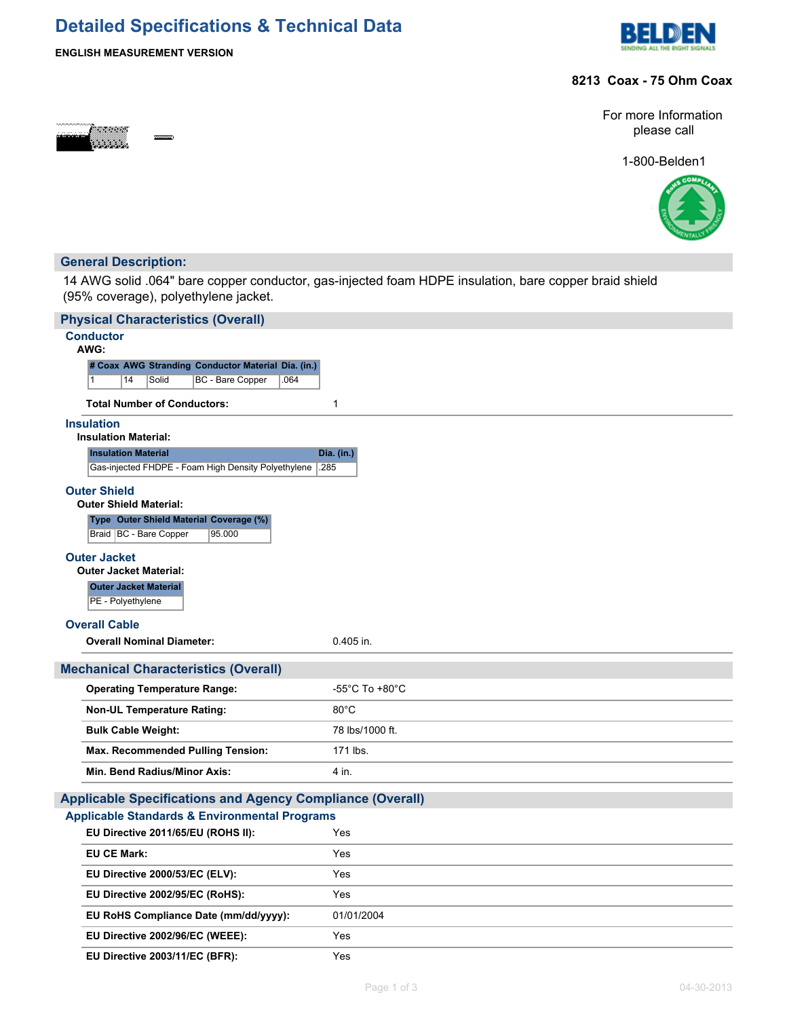# **Detailed Specifications & Technical Data**



# **ENGLISH MEASUREMENT VERSION**

### **8213 Coax - 75 Ohm Coax**



For more Information please call

1-800-Belden1



## **General Description:**

14 AWG solid .064" bare copper conductor, gas-injected foam HDPE insulation, bare copper braid shield (95% coverage), polyethylene jacket.

| <b>Physical Characteristics (Overall)</b>                                     |                 |  |  |  |
|-------------------------------------------------------------------------------|-----------------|--|--|--|
| <b>Conductor</b><br>AWG:                                                      |                 |  |  |  |
| # Coax AWG Stranding Conductor Material Dia. (in.)                            |                 |  |  |  |
| BC - Bare Copper<br>.064<br>14<br>Solid<br>$\mathbf{1}$                       |                 |  |  |  |
| <b>Total Number of Conductors:</b>                                            | 1               |  |  |  |
| <b>Insulation</b>                                                             |                 |  |  |  |
| <b>Insulation Material:</b>                                                   |                 |  |  |  |
| <b>Insulation Material</b>                                                    | Dia. (in.)      |  |  |  |
| Gas-injected FHDPE - Foam High Density Polyethylene                           | .285            |  |  |  |
| <b>Outer Shield</b>                                                           |                 |  |  |  |
| <b>Outer Shield Material:</b>                                                 |                 |  |  |  |
| Type Outer Shield Material Coverage (%)<br>Braid   BC - Bare Copper<br>95.000 |                 |  |  |  |
|                                                                               |                 |  |  |  |
| <b>Outer Jacket</b><br><b>Outer Jacket Material:</b>                          |                 |  |  |  |
| <b>Outer Jacket Material</b>                                                  |                 |  |  |  |
| PE - Polyethylene                                                             |                 |  |  |  |
| <b>Overall Cable</b>                                                          |                 |  |  |  |
| <b>Overall Nominal Diameter:</b>                                              | 0.405 in.       |  |  |  |
| <b>Mechanical Characteristics (Overall)</b>                                   |                 |  |  |  |
| <b>Operating Temperature Range:</b>                                           | -55°C To +80°C  |  |  |  |
| <b>Non-UL Temperature Rating:</b>                                             | $80^{\circ}$ C  |  |  |  |
| <b>Bulk Cable Weight:</b>                                                     | 78 lbs/1000 ft. |  |  |  |
| <b>Max. Recommended Pulling Tension:</b>                                      | 171 lbs.        |  |  |  |
| Min. Bend Radius/Minor Axis:                                                  | 4 in.           |  |  |  |
|                                                                               |                 |  |  |  |
| <b>Applicable Specifications and Agency Compliance (Overall)</b>              |                 |  |  |  |
| <b>Applicable Standards &amp; Environmental Programs</b>                      |                 |  |  |  |
| EU Directive 2011/65/EU (ROHS II):                                            | Yes             |  |  |  |
| <b>EU CE Mark:</b>                                                            | Yes             |  |  |  |
| EU Directive 2000/53/EC (ELV):                                                | Yes             |  |  |  |
| EU Directive 2002/95/EC (RoHS):                                               | Yes             |  |  |  |
| EU RoHS Compliance Date (mm/dd/yyyy):                                         | 01/01/2004      |  |  |  |
| EU Directive 2002/96/EC (WEEE):                                               | Yes             |  |  |  |
| EU Directive 2003/11/EC (BFR):                                                | Yes             |  |  |  |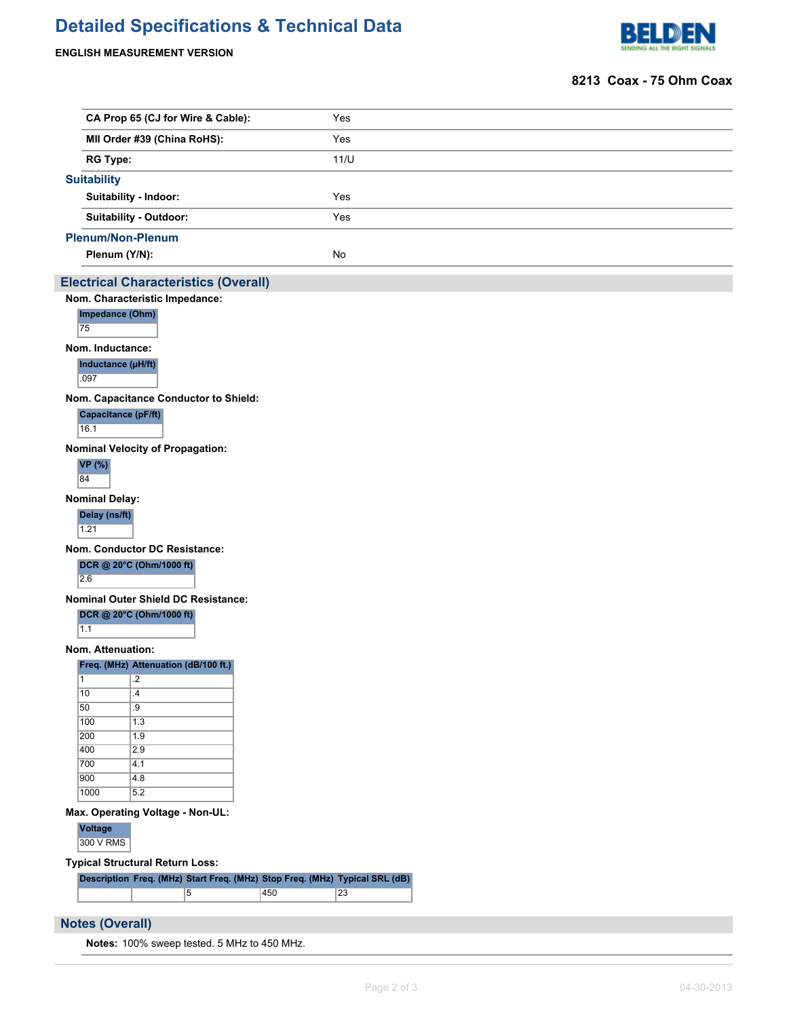# **Detailed Specifications & Technical Data**

#### **ENGLISH MEASUREMENT VERSION**



#### **8213 Coax - 75 Ohm Coax**

| CA Prop 65 (CJ for Wire & Cable):           | Yes  |  |  |  |  |  |
|---------------------------------------------|------|--|--|--|--|--|
| MII Order #39 (China RoHS):                 | Yes  |  |  |  |  |  |
| <b>RG Type:</b>                             | 11/U |  |  |  |  |  |
| <b>Suitability</b>                          |      |  |  |  |  |  |
| <b>Suitability - Indoor:</b>                | Yes  |  |  |  |  |  |
| Suitability - Outdoor:                      | Yes  |  |  |  |  |  |
| <b>Plenum/Non-Plenum</b>                    |      |  |  |  |  |  |
| Plenum (Y/N):                               | No   |  |  |  |  |  |
| <b>Electrical Characteristics (Overall)</b> |      |  |  |  |  |  |
| Nom. Characteristic Impedance:              |      |  |  |  |  |  |
| Impedance (Ohm)                             |      |  |  |  |  |  |
| 75                                          |      |  |  |  |  |  |
| Nom. Inductance:                            |      |  |  |  |  |  |
| Inductance (µH/ft)                          |      |  |  |  |  |  |
| .097                                        |      |  |  |  |  |  |
| Nom. Capacitance Conductor to Shield:       |      |  |  |  |  |  |
|                                             |      |  |  |  |  |  |

## **Capacitance (pF/ft)**

16.1

**Nominal Velocity of Propagation:**



**Nominal Delay:**

**Delay (ns/ft)**  $1.21$ 

**Nom. Conductor DC Resistance:**

**DCR @ 20°C (Ohm/1000 ft)**

2.6

**Nominal Outer Shield DC Resistance:**

**DCR @ 20°C (Ohm/1000 ft)**

 $\overline{1.1}$ 

**Nom. Attenuation:**

**Freq. (MHz) Attenuation (dB/100 ft.)**

| 1    | $\cdot$       |
|------|---------------|
| 10   | $\mathcal{A}$ |
| 50   | .9            |
| 100  | 1.3           |
| 200  | 1.9           |
| 400  | 2.9           |
| 700  | 4.1           |
| 900  | 4.8           |
| 1000 | 5.2           |

**Max. Operating Voltage - Non-UL:**

**Voltage** 300 V RMS

**Typical Structural Return Loss:**

|  | Description Freq. (MHz) Start Freq. (MHz) Stop Freq. (MHz) Typical SRL (dB) |     |    |
|--|-----------------------------------------------------------------------------|-----|----|
|  |                                                                             | 450 | 23 |

### **Notes (Overall)**

**Notes:** 100% sweep tested. 5 MHz to 450 MHz.